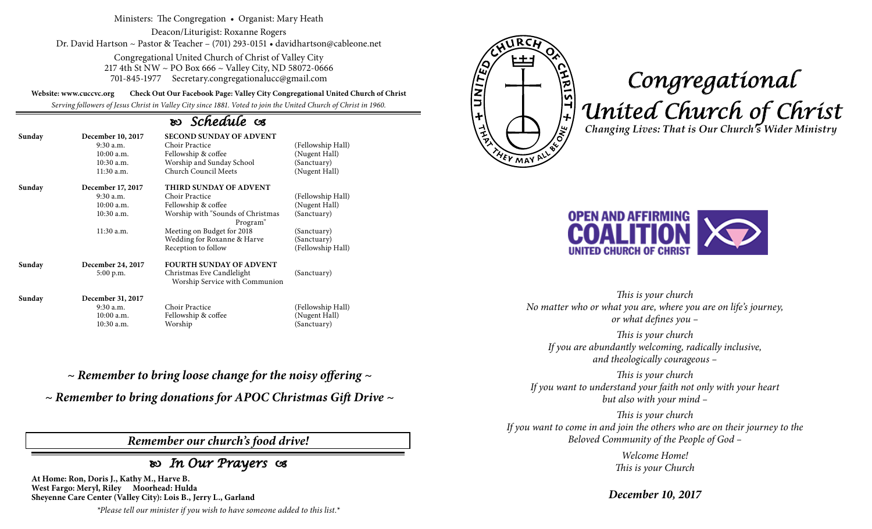Ministers: The Congregation • Organist: Mary Heath

Deacon/Liturigist: Roxanne Rogers Dr. David Hartson ~ Pastor & Teacher – (701) 293-0151 • davidhartson@cableone.net

> Congregational United Church of Christ of Valley City 217 4th St NW ~ PO Box 666 ~ Valley City, ND 58072-0666 701-845-1977 Secretary.congregationalucc@gmail.com

**Website: www.cuccvc.org Check Out Our Facebook Page: Valley City Congregational United Church of Christ**

*Serving followers of Jesus Christ in Valley City since 1881. Voted to join the United Church of Christ in 1960.*

## *Schedule*

| Sunday | December 10, 2017<br>$9:30$ a.m.<br>$10:00$ a.m.<br>$10:30$ a.m.<br>11:30 a.m. | <b>SECOND SUNDAY OF ADVENT</b><br>Choir Practice<br>Fellowship & coffee<br>Worship and Sunday School<br>Church Council Meets | (Fellowship Hall)<br>(Nugent Hall)<br>(Sanctuary)<br>(Nugent Hall) |
|--------|--------------------------------------------------------------------------------|------------------------------------------------------------------------------------------------------------------------------|--------------------------------------------------------------------|
| Sunday | December 17, 2017<br>$9:30$ a.m.<br>$10:00$ a.m.<br>10:30 a.m.                 | THIRD SUNDAY OF ADVENT<br>Choir Practice<br>Fellowship & coffee<br>Worship with "Sounds of Christmas<br>Program"             | (Fellowship Hall)<br>(Nugent Hall)<br>(Sanctuary)                  |
|        | 11:30 a.m.                                                                     | Meeting on Budget for 2018<br>Wedding for Roxanne & Harve<br>Reception to follow                                             | (Sanctuary)<br>(Sanctuary)<br>(Fellowship Hall)                    |
| Sunday | December 24, 2017<br>5:00 p.m.                                                 | <b>FOURTH SUNDAY OF ADVENT</b><br>Christmas Eve Candlelight<br>Worship Service with Communion                                | (Sanctuary)                                                        |
| Sunday | December 31, 2017<br>9:30 a.m.<br>$10:00$ a.m.<br>$10:30$ a.m.                 | Choir Practice<br>Fellowship & coffee<br>Worship                                                                             | (Fellowship Hall)<br>(Nugent Hall)<br>(Sanctuarv)                  |

*~ Remember to bring loose change for the noisy offering ~*

*~ Remember to bring donations for APOC Christmas Gift Drive ~*

*Remember our church's food drive!*

 *In Our Prayers* 

**At Home: Ron, Doris J., Kathy M., Harve B. West Fargo: Meryl, Riley Moorhead: Hulda Sheyenne Care Center (Valley City): Lois B., Jerry L., Garland**

*\*Please tell our minister if you wish to have someone added to this list.\**



# *Congregational United Church of Christ Changing Lives: That is Our Church's Wider Ministry*



*This is your church No matter who or what you are, where you are on life's journey, or what defines you –*

*This is your church If you are abundantly welcoming, radically inclusive, and theologically courageous –*

*This is your church If you want to understand your faith not only with your heart but also with your mind –*

*This is your church If you want to come in and join the others who are on their journey to the Beloved Community of the People of God –*

> *Welcome Home! This is your Church*

*December 10, 2017*